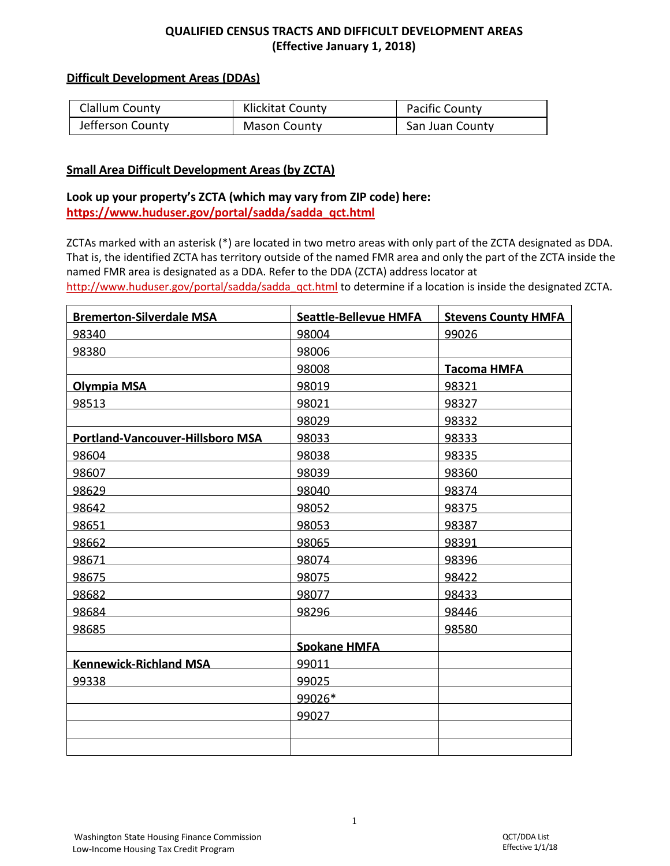## **QUALIFIED CENSUS TRACTS AND DIFFICULT DEVELOPMENT AREAS (Effective January 1, 2018)**

### **Difficult Development Areas (DDAs)**

| Clallum County   | Klickitat County    | Pacific County  |
|------------------|---------------------|-----------------|
| Jefferson County | <b>Mason County</b> | San Juan County |

#### **Small Area Difficult Development Areas (by ZCTA)**

## **Look up your property's ZCTA (which may vary from ZIP code) here: [https://www.huduser.gov/portal/sadda/sadda\\_qct.html](https://www.huduser.gov/portal/sadda/sadda_qct.html)**

ZCTAs marked with an asterisk (\*) are located in two metro areas with only part of the ZCTA designated as DDA. That is, the identified ZCTA has territory outside of the named FMR area and only the part of the ZCTA inside the named FMR area is designated as a DDA. Refer to the DDA (ZCTA) address locator at [http://www.huduser.gov/portal/sadda/sadda\\_qct.html](http://www.huduser.gov/portal/sadda/sadda_qct.html) to determine if a location is inside the designated ZCTA.

| <b>Bremerton-Silverdale MSA</b>         | <b>Seattle-Bellevue HMFA</b> | <b>Stevens County HMFA</b> |
|-----------------------------------------|------------------------------|----------------------------|
| 98340                                   | 98004                        | 99026                      |
| 98380                                   | 98006                        |                            |
|                                         | 98008                        | <b>Tacoma HMFA</b>         |
| <b>Olympia MSA</b>                      | 98019                        | 98321                      |
| 98513                                   | 98021                        | 98327                      |
|                                         | 98029                        | 98332                      |
| <b>Portland-Vancouver-Hillsboro MSA</b> | 98033                        | 98333                      |
| 98604                                   | 98038                        | 98335                      |
| 98607                                   | 98039                        | 98360                      |
| 98629                                   | 98040                        | 98374                      |
| 98642                                   | 98052                        | 98375                      |
| 98651                                   | 98053                        | 98387                      |
| 98662                                   | 98065                        | 98391                      |
| 98671                                   | 98074                        | 98396                      |
| 98675                                   | 98075                        | 98422                      |
| 98682                                   | 98077                        | 98433                      |
| 98684                                   | 98296                        | 98446                      |
| 98685                                   |                              | 98580                      |
|                                         | <b>Spokane HMFA</b>          |                            |
| <b>Kennewick-Richland MSA</b>           | 99011                        |                            |
| 99338                                   | 99025                        |                            |
|                                         | 99026*                       |                            |
|                                         | 99027                        |                            |
|                                         |                              |                            |
|                                         |                              |                            |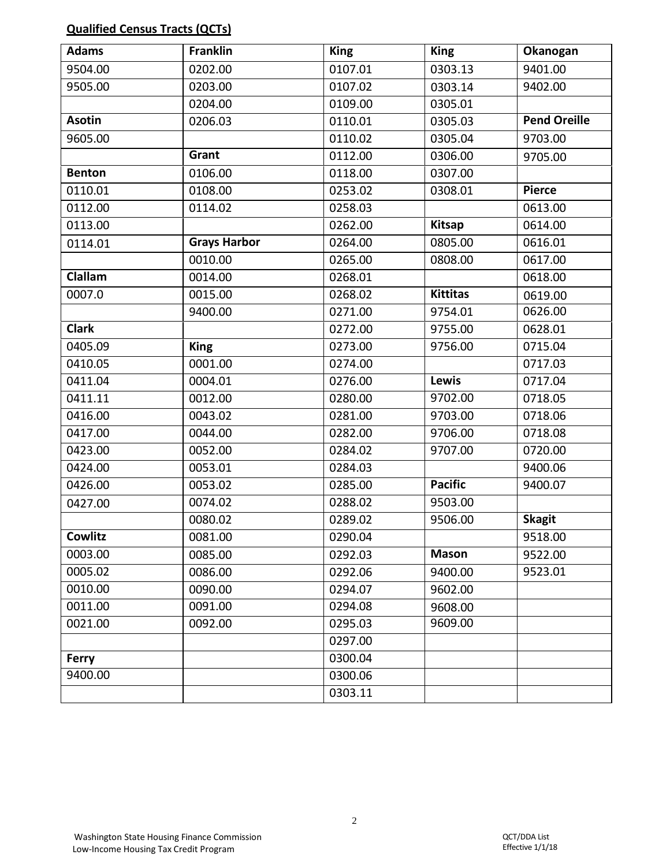# **Qualified Census Tracts (QCTs)**

| <b>Adams</b>  | <b>Franklin</b>     | <b>King</b> | <b>King</b>     | Okanogan            |
|---------------|---------------------|-------------|-----------------|---------------------|
| 9504.00       | 0202.00             | 0107.01     | 0303.13         | 9401.00             |
| 9505.00       | 0203.00             | 0107.02     | 0303.14         | 9402.00             |
|               | 0204.00             | 0109.00     | 0305.01         |                     |
| <b>Asotin</b> | 0206.03             | 0110.01     | 0305.03         | <b>Pend Oreille</b> |
| 9605.00       |                     | 0110.02     | 0305.04         | 9703.00             |
|               | Grant               | 0112.00     | 0306.00         | 9705.00             |
| <b>Benton</b> | 0106.00             | 0118.00     | 0307.00         |                     |
| 0110.01       | 0108.00             | 0253.02     | 0308.01         | <b>Pierce</b>       |
| 0112.00       | 0114.02             | 0258.03     |                 | 0613.00             |
| 0113.00       |                     | 0262.00     | <b>Kitsap</b>   | 0614.00             |
| 0114.01       | <b>Grays Harbor</b> | 0264.00     | 0805.00         | 0616.01             |
|               | 0010.00             | 0265.00     | 0808.00         | 0617.00             |
| Clallam       | 0014.00             | 0268.01     |                 | 0618.00             |
| 0007.0        | 0015.00             | 0268.02     | <b>Kittitas</b> | 0619.00             |
|               | 9400.00             | 0271.00     | 9754.01         | 0626.00             |
| <b>Clark</b>  |                     | 0272.00     | 9755.00         | 0628.01             |
| 0405.09       | <b>King</b>         | 0273.00     | 9756.00         | 0715.04             |
| 0410.05       | 0001.00             | 0274.00     |                 | 0717.03             |
| 0411.04       | 0004.01             | 0276.00     | Lewis           | 0717.04             |
| 0411.11       | 0012.00             | 0280.00     | 9702.00         | 0718.05             |
| 0416.00       | 0043.02             | 0281.00     | 9703.00         | 0718.06             |
| 0417.00       | 0044.00             | 0282.00     | 9706.00         | 0718.08             |
| 0423.00       | 0052.00             | 0284.02     | 9707.00         | 0720.00             |
| 0424.00       | 0053.01             | 0284.03     |                 | 9400.06             |
| 0426.00       | 0053.02             | 0285.00     | <b>Pacific</b>  | 9400.07             |
| 0427.00       | 0074.02             | 0288.02     | 9503.00         |                     |
|               | 0080.02             | 0289.02     | 9506.00         | <b>Skagit</b>       |
| Cowlitz       | 0081.00             | 0290.04     |                 | 9518.00             |
| 0003.00       | 0085.00             | 0292.03     | <b>Mason</b>    | 9522.00             |
| 0005.02       | 0086.00             | 0292.06     | 9400.00         | 9523.01             |
| 0010.00       | 0090.00             | 0294.07     | 9602.00         |                     |
| 0011.00       | 0091.00             | 0294.08     | 9608.00         |                     |
| 0021.00       | 0092.00             | 0295.03     | 9609.00         |                     |
|               |                     | 0297.00     |                 |                     |
| <b>Ferry</b>  |                     | 0300.04     |                 |                     |
| 9400.00       |                     | 0300.06     |                 |                     |
|               |                     | 0303.11     |                 |                     |